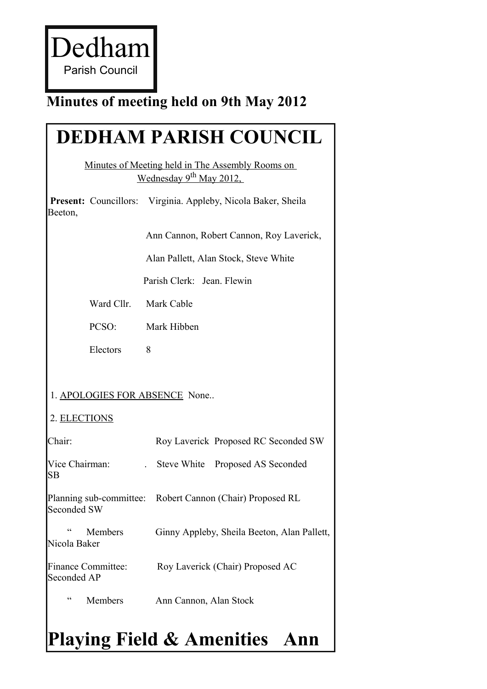Dedham Parish Council

## **Minutes of meeting held on 9th May 2012**

# **DEDHAM PARISH COUNCIL**

Minutes of Meeting held in The Assembly Rooms on Wednesday 9<sup>th</sup> May 2012,

**Present:** Councillors: Virginia. Appleby, Nicola Baker, Sheila Beeton,

Ann Cannon, Robert Cannon, Roy Laverick,

Alan Pallett, Alan Stock, Steve White

Parish Clerk: Jean. Flewin

Ward Cllr. Mark Cable

PCSO: Mark Hibben

Electors 8

#### 1. APOLOGIES FOR ABSENCE None..

#### 2. ELECTIONS

| Chair <sup>.</sup>                           | Roy Laverick Proposed RC Seconded SW                      |
|----------------------------------------------|-----------------------------------------------------------|
| Vice Chairman:<br><b>SB</b>                  | Steve White Proposed AS Seconded                          |
| Seconded SW                                  | Planning sub-committee: Robert Cannon (Chair) Proposed RL |
| $\epsilon$<br><b>Members</b><br>Nicola Baker | Ginny Appleby, Sheila Beeton, Alan Pallett,               |
| Finance Committee:<br>Seconded AP            | Roy Laverick (Chair) Proposed AC                          |
| cc<br>Members                                | Ann Cannon, Alan Stock                                    |

# **Playing Field & Amenities Ann**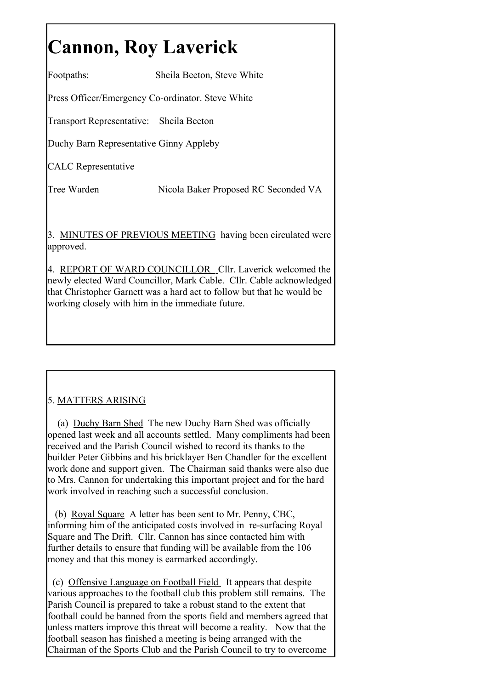# **Cannon, Roy Laverick**

Footpaths: Sheila Beeton, Steve White

Press Officer/Emergency Co-ordinator. Steve White

Transport Representative: Sheila Beeton

Duchy Barn Representative Ginny Appleby

CALC Representative

Tree Warden Nicola Baker Proposed RC Seconded VA

3. MINUTES OF PREVIOUS MEETING having been circulated were approved.

4. REPORT OF WARD COUNCILLOR Cllr. Laverick welcomed the newly elected Ward Councillor, Mark Cable. Cllr. Cable acknowledged that Christopher Garnett was a hard act to follow but that he would be working closely with him in the immediate future.

### 5. MATTERS ARISING

(a) Duchy Barn Shed The new Duchy Barn Shed was officially opened last week and all accounts settled. Many compliments had been received and the Parish Council wished to record its thanks to the builder Peter Gibbins and his bricklayer Ben Chandler for the excellent work done and support given. The Chairman said thanks were also due to Mrs. Cannon for undertaking this important project and for the hard work involved in reaching such a successful conclusion.

(b) Royal Square A letter has been sent to Mr. Penny, CBC, informing him of the anticipated costs involved in re-surfacing Royal Square and The Drift. Cllr. Cannon has since contacted him with further details to ensure that funding will be available from the 106 money and that this money is earmarked accordingly.

(c) Offensive Language on Football Field It appears that despite various approaches to the football club this problem still remains. The Parish Council is prepared to take a robust stand to the extent that football could be banned from the sports field and members agreed that unless matters improve this threat will become a reality. Now that the football season has finished a meeting is being arranged with the Chairman of the Sports Club and the Parish Council to try to overcome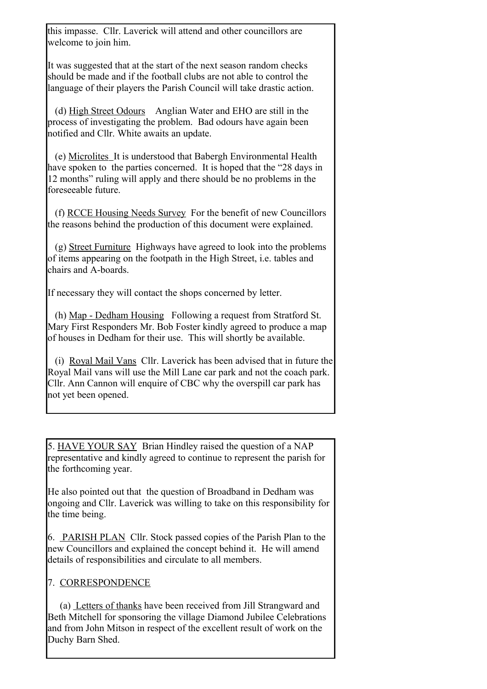this impasse. Cllr. Laverick will attend and other councillors are welcome to join him.

It was suggested that at the start of the next season random checks should be made and if the football clubs are not able to control the language of their players the Parish Council will take drastic action.

(d) High Street Odours Anglian Water and EHO are still in the process of investigating the problem. Bad odours have again been notified and Cllr. White awaits an update.

(e) Microlites It is understood that Babergh Environmental Health have spoken to the parties concerned. It is hoped that the "28 days in 12 months" ruling will apply and there should be no problems in the foreseeable future.

(f) RCCE Housing Needs Survey For the benefit of new Councillors the reasons behind the production of this document were explained.

(g) Street Furniture Highways have agreed to look into the problems of items appearing on the footpath in the High Street, i.e. tables and chairs and A-boards.

If necessary they will contact the shops concerned by letter.

(h) Map - Dedham Housing Following a request from Stratford St. Mary First Responders Mr. Bob Foster kindly agreed to produce a map of houses in Dedham for their use. This will shortly be available.

(i) Royal Mail Vans Cllr. Laverick has been advised that in future the Royal Mail vans will use the Mill Lane car park and not the coach park. Cllr. Ann Cannon will enquire of CBC why the overspill car park has not yet been opened.

5. HAVE YOUR SAY Brian Hindley raised the question of a NAP representative and kindly agreed to continue to represent the parish for the forthcoming year.

He also pointed out that the question of Broadband in Dedham was ongoing and Cllr. Laverick was willing to take on this responsibility for the time being.

6. PARISH PLAN Cllr. Stock passed copies of the Parish Plan to the new Councillors and explained the concept behind it. He will amend details of responsibilities and circulate to all members.

#### 7. CORRESPONDENCE

(a) Letters of thanks have been received from Jill Strangward and Beth Mitchell for sponsoring the village Diamond Jubilee Celebrations and from John Mitson in respect of the excellent result of work on the Duchy Barn Shed.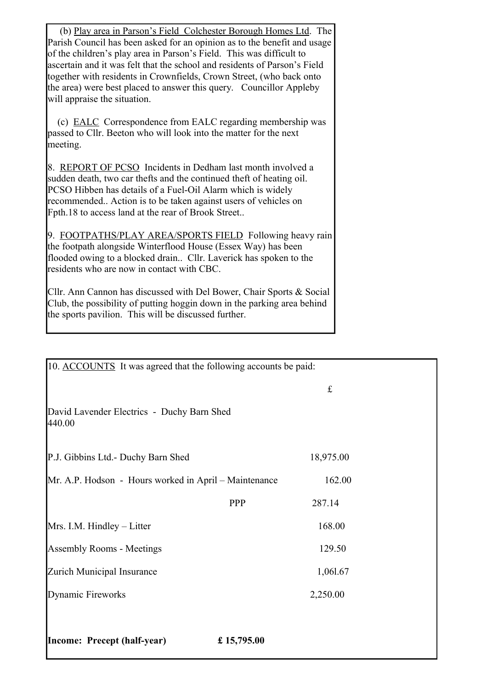(b) Play area in Parson's Field Colchester Borough Homes Ltd. The Parish Council has been asked for an opinion as to the benefit and usage of the children's play area in Parson's Field. This was difficult to ascertain and it was felt that the school and residents of Parson's Field together with residents in Crownfields, Crown Street, (who back onto the area) were best placed to answer this query. Councillor Appleby will appraise the situation.

(c) EALC Correspondence from EALC regarding membership was passed to Cllr. Beeton who will look into the matter for the next meeting.

8. REPORT OF PCSO Incidents in Dedham last month involved a sudden death, two car thefts and the continued theft of heating oil. PCSO Hibben has details of a Fuel-Oil Alarm which is widely recommended.. Action is to be taken against users of vehicles on Fpth.18 to access land at the rear of Brook Street..

9. FOOTPATHS/PLAY AREA/SPORTS FIELD Following heavy rain the footpath alongside Winterflood House (Essex Way) has been flooded owing to a blocked drain.. Cllr. Laverick has spoken to the residents who are now in contact with CBC.

Cllr. Ann Cannon has discussed with Del Bower, Chair Sports & Social Club, the possibility of putting hoggin down in the parking area behind the sports pavilion. This will be discussed further.

| 10. ACCOUNTS It was agreed that the following accounts be paid: |            |           |  |
|-----------------------------------------------------------------|------------|-----------|--|
|                                                                 |            | $\pounds$ |  |
| David Lavender Electrics - Duchy Barn Shed<br>440.00            |            |           |  |
| P.J. Gibbins Ltd.- Duchy Barn Shed                              |            | 18,975.00 |  |
| Mr. A.P. Hodson - Hours worked in April – Maintenance           |            | 162.00    |  |
|                                                                 | <b>PPP</b> | 287.14    |  |
| Mrs. I.M. Hindley – Litter                                      |            | 168.00    |  |
| Assembly Rooms - Meetings                                       |            | 129.50    |  |
| Zurich Municipal Insurance                                      |            | 1,061.67  |  |
| Dynamic Fireworks                                               |            | 2,250.00  |  |
|                                                                 |            |           |  |
| <b>Income: Precept (half-year)</b>                              | £15,795.00 |           |  |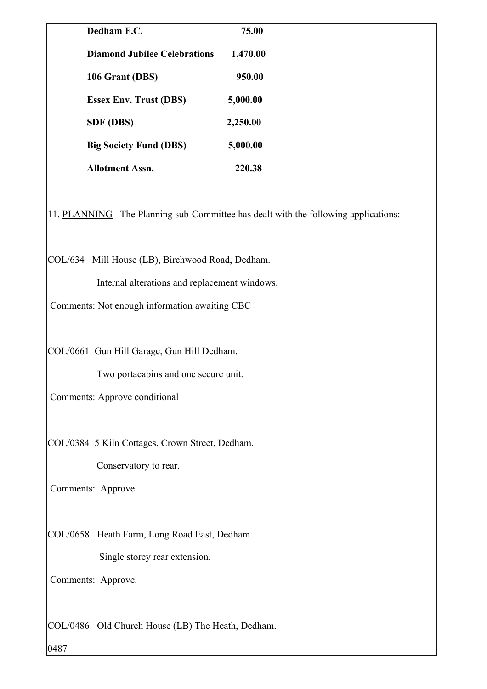| Dedham F.C.                                                                        | 75.00    |  |
|------------------------------------------------------------------------------------|----------|--|
| <b>Diamond Jubilee Celebrations</b>                                                | 1,470.00 |  |
| 106 Grant (DBS)                                                                    | 950.00   |  |
| <b>Essex Env. Trust (DBS)</b>                                                      | 5,000.00 |  |
| <b>SDF</b> (DBS)                                                                   | 2,250.00 |  |
| <b>Big Society Fund (DBS)</b>                                                      | 5,000.00 |  |
| <b>Allotment Assn.</b>                                                             | 220.38   |  |
| 11. PLANNING The Planning sub-Committee has dealt with the following applications: |          |  |

COL/634 Mill House (LB), Birchwood Road, Dedham.

Internal alterations and replacement windows.

Comments: Not enough information awaiting CBC

COL/0661 Gun Hill Garage, Gun Hill Dedham.

Two portacabins and one secure unit.

Comments: Approve conditional

COL/0384 5 Kiln Cottages, Crown Street, Dedham.

Conservatory to rear.

Comments: Approve.

COL/0658 Heath Farm, Long Road East, Dedham.

Single storey rear extension.

Comments: Approve.

COL/0486 Old Church House (LB) The Heath, Dedham.

0487